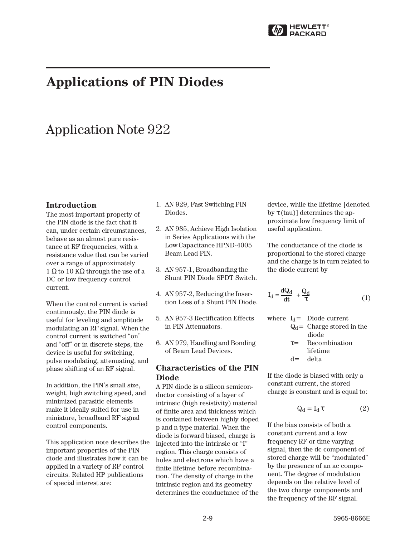

# **Applications of PIN Diodes**

# Application Note 922

## **Introduction**

The most important property of the PIN diode is the fact that it can, under certain circumstances, behave as an almost pure resistance at RF frequencies, with a resistance value that can be varied over a range of approximately 1 Ω to 10 KΩ through the use of a DC or low frequency control current.

When the control current is varied continuously, the PIN diode is useful for leveling and amplitude modulating an RF signal. When the control current is switched "on" and "off" or in discrete steps, the device is useful for switching, pulse modulating, attenuating, and phase shifting of an RF signal.

In addition, the PlN's small size, weight, high switching speed, and minimized parasitic elements make it ideally suited for use in miniature, broadband RF signal control components.

This application note describes the important properties of the PIN diode and illustrates how it can be applied in a variety of RF control circuits. Related HP publications of special interest are:

- 1. AN 929, Fast Switching PIN Diodes.
- 2. AN 985, Achieve High Isolation in Series Applications with the Low Capacitance HPND-4005 Beam Lead PIN.
- 3. AN 957-1, Broadbanding the Shunt PIN Diode SPDT Switch.
- 4. AN 957-2, Reducing the Insertion Loss of a Shunt PIN Diode.
- 5. AN 957-3 Rectification Effects in PIN Attenuators.
- 6. AN 979, Handling and Bonding of Beam Lead Devices.

## **Characteristics of the PIN Diode**

A PIN diode is a silicon semiconductor consisting of a layer of intrinsic (high resistivity) material of finite area and thickness which is contained between highly doped p and n type material. When the diode is forward biased, charge is injected into the intrinsic or "I" region. This charge consists of holes and electrons which have a finite lifetime before recombination. The density of charge in the intrinsic region and its geometry determines the conductance of the

device, while the lifetime [denoted by  $\tau$  (tau)] determines the approximate low frequency limit of useful application.

The conductance of the diode is proportional to the stored charge and the charge is in turn related to the diode current by

$$
I_d = \frac{dQ_d}{dt} + \frac{Q_d}{\tau}
$$
 (1)

where  $I_d =$  Diode current  $Q_d$  = Charge stored in the diode  $\tau$  = Recombination lifetime  $d =$  delta

If the diode is biased with only a constant current, the stored charge is constant and is equal to:

$$
Q_d = I_d \tau \tag{2}
$$

If the bias consists of both a constant current and a low frequency RF or time varying signal, then the dc component of stored charge will be "modulated" by the presence of an ac component. The degree of modulation depends on the relative level of the two charge components and the frequency of the RF signal.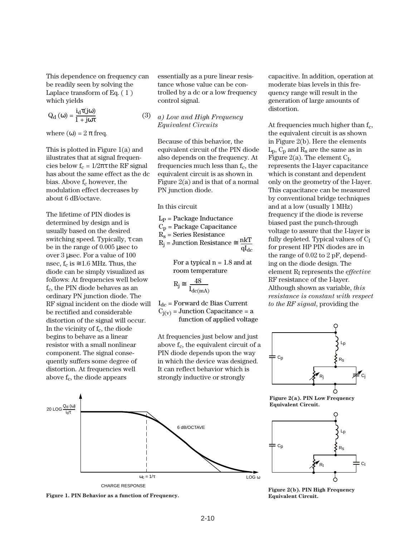This dependence on frequency can be readily seen by solving the Laplace transform of Eq. ( 1 ) which yields

$$
Q_{d}(\omega) = \frac{i_{d}\tau(j\omega)}{1 + j\omega\tau}
$$
 (3)

where  $(\omega) = 2 \pi$  freq.

This is plotted in Figure 1(a) and iilustrates that at signal frequencies below  $f_c = 1/2\pi\tau$  the RF signal has about the same effect as the dc bias. Above  $f_c$  however, the modulation effect decreases by about 6 dB/octave.

The lifetime of PIN diodes is determined by design and is usually based on the desired switching speed. Typically, τ can be in the range of 0.005 µsec to over 3 µsec. For a value of 100 nsec,  $f_c$  is  $\approx$  1.6 MHz. Thus, the diode can be simply visualized as follows: At frequencies well below f<sub>c</sub>, the PIN diode behaves as an ordinary PN junction diode. The RF signal incident on the diode will be rectified and considerable distortion of the signal will occur. In the vicinity of  $f_c$ , the diode begins to behave as a linear resistor with a small nonlinear component. The signal consequently suffers some degree of distortion. At frequencies well above  $f_c$ , the diode appears

essentially as a pure linear resistance whose value can be controlled by a dc or a low frequency control signal.

### *a) Low and High Frequency Equivalent Circuits*

Because of this behavior, the equivalent circuit of the PIN diode also depends on the frequency. At frequencies much less than  $f_c$ , the equivalent circuit is as shown in Figure 2(a) and is that of a normal PN junction diode.

In this circuit

$$
\begin{aligned} L_{P} &= \text{Package Inductance} \\ C_{p} &= \text{Package Capacitance} \\ R_{s} &= \text{Series Resistance} \\ R_{j} &= \text{Junction Resistance} \cong \frac{n k T}{q I_{dc}} \end{aligned}
$$

For a typical  $n = 1.8$  and at room temperature

$$
R_j \cong \ \frac{48}{I_{dc(mA)}}
$$

 $I_{dc}$  = Forward dc Bias Current  $C<sub>i(v)</sub>$  = Junction Capacitance = a function of applied voltage

At frequencies just below and just above  $f_c$ , the equivalent circuit of a PIN diode depends upon the way in which the device was designed. It can reflect behavior which is strongly inductive or strongly

capacitive. In addition, operation at moderate bias levels in this frequency range will result in the generation of large amounts of distortion.

At frequencies much higher than  $f_c$ , the equivalent circuit is as shown in Figure 2(b). Here the elements  $L_p$ ,  $C_p$  and  $R_s$  are the same as in Figure 2(a). The element  $C_I$ , represents the I-layer capacitance which is constant and dependent only on the geometry of the I-layer. This capacitance can be measured by conventional bridge techniques and at a low (usually 1 MHz) frequency if the diode is reverse biased past the punch-through voltage to assure that the I-layer is fully depleted. Typical values of  $C_I$ for present HP PIN diodes are in the range of 0.02 to 2 pF, depending on the diode design. The element RI represents the *effective* RF resistance of the I-layer. Although shown as variable, *this resistance is constant with respect to the RF signal*, providing the



**Figure 2(a). PIN Low Frequency Equivalent Circuit.**





**Figure 1. PIN Behavior as a function of Frequency.**

**Figure 2(b). PIN High Frequency Equivalent Circuit.**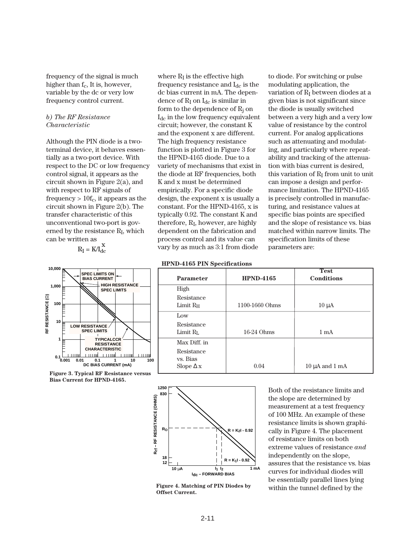frequency of the signal is much higher than  $f_c$ , It is, however, variable by the dc or very low frequency control current.

### *b) The RF Resistance Characteristic*

Although the PIN diode is a twoterminal device, it behaves essentially as a two-port device. With respect to the DC or low frequency control signal, it appears as the circuit shown in Figure 2(a), and with respect to RF signals of frequency  $> 10f_c$ , it appears as the circuit shown in Figure 2(b). The transfer characteristic of this unconventional two-port is governed by the resistance  $R_I$ , which can be written as

 $R_{I} = K/I_{dc}^{X}$ 



**Figure 3. Typical RF Resistance versus Bias Current for HPND-4165.**

where  $R_I$  is the effective high frequency resistance and  $I_{dc}$  is the dc bias current in mA. The dependence of  $R_I$  on  $I_{dc}$  is similar in form to the dependence of  $R_i$  on  $I_{dc}$  in the low frequency equivalent circuit; however, the constant K and the exponent x are different. The high frequency resistance function is plotted in Figure 3 for the HPND-4165 diode. Due to a variety of mechanisms that exist in the diode at RF frequencies, both K and x must be determined empirically. For a specific diode design, the exponent x is usually a constant. For the HPND-4165, x is typically 0.92. The constant K and therefore,  $R_I$ , however, are highly dependent on the fabrication and process control and its value can vary by as much as 3:1 from diode

to diode. For switching or pulse modulating application, the variation of  $R_I$  between diodes at a given bias is not significant since the diode is usually switched between a very high and a very low value of resistance by the control current. For analog applications such as attenuating and modulating, and particularly where repeatability and tracking of the attenuation with bias current is desired, this variation of  $R_I$  from unit to unit can impose a design and performance limitation. The HPND-4165 is precisely controlled in manufacturing, and resistance values at specific bias points are specified and the slope of resistance vs. bias matched within narrow limits. The specification limits of these parameters are:

| <b>Parameter</b>                   | <b>HPND-4165</b> | <b>Test</b><br><b>Conditions</b> |
|------------------------------------|------------------|----------------------------------|
| High                               |                  |                                  |
| Resistance<br>Limit R <sub>H</sub> | 1100-1660 Ohms   | $10 \mu A$                       |
| Low                                |                  |                                  |
| Resistance<br>Limit R <sub>L</sub> | 16-24 Ohms       | $1 \text{ mA}$                   |
| Max Diff. in                       |                  |                                  |
| Resistance<br>vs. Bias             |                  |                                  |
| Slope $\Delta x$                   | 0.04             | $10 \mu A$ and $1 \mu A$         |



**Figure 4. Matching of PIN Diodes by Offset Current.**

Both of the resistance limits and the slope are determined by measurement at a test frequency of 100 MHz. An example of these resistance limits is shown graphically in Figure 4. The placement of resistance limits on both extreme values of resistance *and* independently on the slope, assures that the resistance vs. bias curves for individual diodes will be essentially parallel lines lying within the tunnel defined by the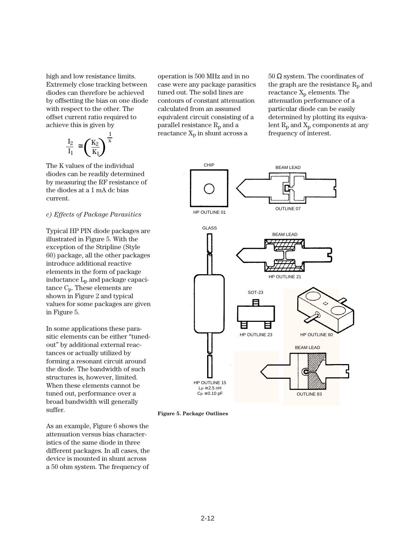high and low resistance limits. Extremely close tracking between diodes can therefore be achieved by offsetting the bias on one diode with respect to the other. The offset current ratio required to achieve this is given by

$$
\frac{I_2}{I_1} \cong \left(\frac{K_2}{K_1}\right)^{\frac{1}{x}}
$$

The K values of the individual diodes can be readily determined by measuring the RF resistance of the diodes at a 1 mA dc bias current.

## *c) Effects of Package Parasitics*

Typical HP PIN diode packages are illustrated in Figure 5. With the exception of the Stripline (Style 60) package, all the other packages introduce additional reactive elements in the form of package inductance Lp and package capacitance Cp. These elements are shown in Figure 2 and typical values for some packages are given in Figure 5.

In some applications these parasitic elements can be either "tunedout" by additional external reactances or actually utilized by forming a resonant circuit around the diode. The bandwidth of such structures is, however, limited. When these elements cannot be tuned out, performance over a broad bandwidth will generally suffer.

As an example, Figure 6 shows the attenuation versus bias characteristics of the same diode in three different packages. In all cases, the device is mounted in shunt across a 50 ohm system. The frequency of

operation is 500 MHz and in no case were any package parasitics tuned out. The solid lines are contours of constant attenuation calculated from an assumed equivalent circuit consisting of a parallel resistance  $R_p$  and a reactance  $X_p$  in shunt across a

 $50$  Ω system. The coordinates of the graph are the resistance  $R_p$  and reactance  $X_p$  elements. The attenuatlon performance of a particular diode can be easily determined by plotting its equivalent  $R_p$  and  $X_p$  components at any frequency of interest.



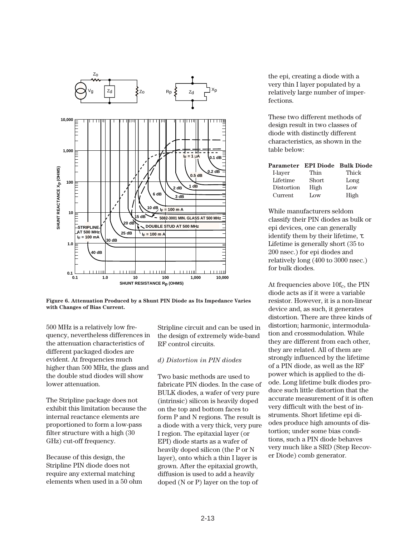

**Figure 6. Attenuation Produced by a Shunt PIN Diode as Its Impedance Varies with Changes of Bias Current.**

500 MHz is a relatively low frequency, nevertheless differences in the attenuation characteristics of different packaged diodes are evident. At frequencies much higher than 500 MHz, the glass and the double stud diodes will show lower attenuation.

The Stripline package does not exhibit this limitation because the internal reactance elements are proportioned to form a low-pass filter structure with a high (30 GHz) cut-off frequency.

Because of this design, the Stripline PIN diode does not require any external matching elements when used in a 50 ohm Stripline circuit and can be used in the design of extremely wide-band RF control circuits.

#### *d) Distortion in PIN diodes*

Two basic methods are used to fabricate PIN diodes. In the case of BULK diodes, a wafer of very pure (intrinsic) silicon is heavily doped on the top and bottom faces to form P and N regions. The result is a diode with a very thick, very pure I region. The epitaxial layer (or EPI) diode starts as a wafer of heavily doped silicon (the P or N layer), onto which a thin I layer is grown. After the epitaxial growth, diffusion is used to add a heavily doped (N or P) layer on the top of

the epi, creating a diode with a very thin I layer populated by a relatively large number of imperfections.

These two different methods of design result in two classes of diode with distinctly different characteristics, as shown in the table below:

|            |       | Parameter EPI Diode Bulk Diode |
|------------|-------|--------------------------------|
| I-layer    | Thin  | Thick                          |
| Lifetime   | Short | Long                           |
| Distortion | High  | Low                            |
| Current    | Low   | High                           |

While manufacturers seldom classify their PIN diodes as bulk or epi devices, one can generally identify them by their lifetime,  $\tau$ . Lifetime is generally short (35 to 200 nsec.) for epi diodes and relatively long (400 to 3000 nsec.) for bulk diodes.

At frequencies above  $10f_c$ , the PIN diode acts as if it were a variable resistor. However, it is a non-linear device and, as such, it generates distortion. There are three kinds of distortion; harmonic, intermodulation and crossmodulation. While they are different from each other, they are related. All of them are strongly influenced by the lifetime of a PIN diode, as well as the RF power which is applied to the diode. Long lifetime bulk diodes produce such little distortion that the accurate measurement of it is often very difficult with the best of instruments. Short lifetime epi diodes produce high amounts of distortion; under some bias conditions, such a PIN diode behaves very much like a SRD (Step Recover Diode) comb generator.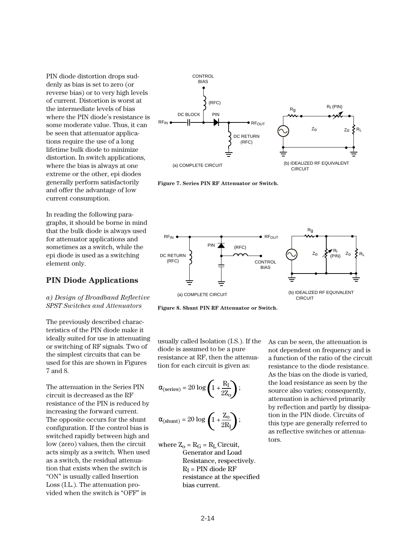PIN diode distortion drops suddenly as bias is set to zero (or reverse bias) or to very high levels of current. Distortion is worst at the intermediate levels of bias where the PIN diode's resistance is some moderate value. Thus, it can be seen that attenuator applications require the use of a long lifetime bulk diode to minimize distortion. In switch applications, where the bias is always at one extreme or the other, epi diodes generally perform satisfactorily and offer the advantage of low current consumption.

In reading the following paragraphs, it should be borne in mind that the bulk diode is always used for attenuator applications and sometimes as a switch, while the epi diode is used as a switching element only.

# **PIN Diode Applications**

*a) Design of Broadband Reflective SPST Switches and Attenuators*

The previously described characteristics of the PIN diode make it ideally suited for use in attenuating or switching of RF signals. Two of the simplest circuits that can be used for this are shown in Figures 7 and 8.

The attenuation in the Series PIN circuit is decreased as the RF resistance of the PIN is reduced by increasing the forward current. The opposite occurs for the shunt configuration. If the control bias is switched rapidly between high and low (zero) values, then the circuit acts simply as a switch. When used as a switch, the residual attenuation that exists when the switch is "ON" is usually called Insertion Loss (I.L.). The attenuation provided when the switch is "OFF" is



**Figure 7. Series PIN RF Attenuator or Switch.**



**Figure 8. Shunt PIN RF Attenuator or Switch.**

usually called Isolation (I.S.). If the diode is assumed to be a pure resistance at RF, then the attenuation for each circuit is given as:

$$
\alpha_{\text{(series)}} = 20 \log \left( 1 + \frac{R_I}{2Z_o} \right);
$$

$$
\alpha_{(shunt)} = 20 \log \left( 1 + \frac{Z_o}{2R_I} \right);
$$

where  $Z_0 = R_G = R_L$  Circuit, Generator and Load Resistance, respectively.  $R_I$  = PIN diode RF resistance at the specified bias current.

As can be seen, the attenuation is not dependent on frequency and is a function of the ratio of the circuit resistance to the diode resistance. As the bias on the diode is varied, the load resistance as seen by the source also varies; consequently, attenuation is achieved primarily by reflection and partly by dissipation in the PIN diode. Circuits of this type are generally referred to as reflective switches or attenuators.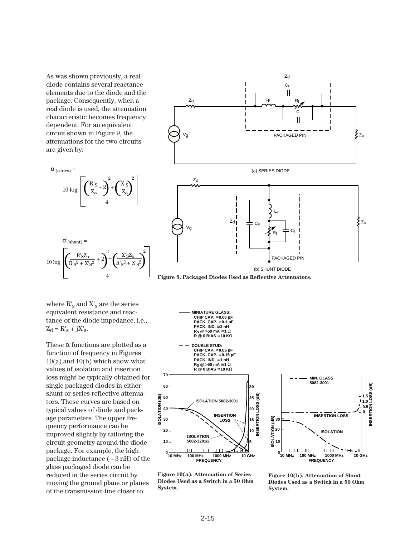As was shown previously, a real diode contains several reactance elements due to the diode and the package. Consequently, when a real diode is used, the attenuation characteristic becomes frequency dependent. For an equivalent circuit shown in Figure 9, the attenuations for the two circuits are given by:

 $\left(\frac{R'_{S}}{Z_{o}}+2\right)$ 

 $_{\rm Z_O}$  $R'_{\rm S}$ 

 $\alpha'$ (series) =

10 log

 $\alpha'_{(shunt)} =$ 

4

4

 $R's^{2} + X's^{2}$   $\left| \int_{0}^{1} R's^{2} + X's^{2}$ 

 $\frac{R'_{\rm S}Z_{\rm O}}{R_{\rm O}}$  + 2 +  $\left(\frac{X'_{\rm S}Z_{\rm O}}{R_{\rm O}}\right)$  $10 \log \left( \frac{R'_{S}Z_{O}}{R'_{S}^{2} + X'_{S}^{2}} + 2 \right)^{2} + \left( \frac{X'_{S}Z_{O}}{R'_{S}^{2} + X'_{S}^{2}} \right)^{2}$ 

 $+2$  +

2

 $\left(\frac{X'_{S}}{Z_{o}}\right)$ 2

2  $\sim$   $\frac{2}{10}$ 





where  $R'_s$  and  $X'_s$  are the series equivalent resistance and reactance of the diode impedance, i.e.,  $Z_d = R'_s + jX'_s$ .

These  $\alpha$  functions are plotted as a function of frequency in Figures  $10(a)$  and  $10(b)$  which show what values of isolation and insertion loss might be typically obtained for single packaged diodes in either shunt or series reflective attenuators. These curves are based on typical values of diode and package parameters. The upper frequency performance can be improved slightly by tailoring the circuit geometry around the diode package. For example, the high package inductance (~ 3 nH) of the glass packaged diode can be reduced in the series circuit by moving the ground plane or planes of the transmission line closer to



**Figure 10(a). Attenuation of Series Diodes Used as a Switch in a 50 Ohm System.**

**Figure 10(b). Attenuation of Shunt Diodes Used as a Switch in a 50 Ohm System.**

**INSERTION LOSS (dB) 1.5 1.0 0.5 0**

මූ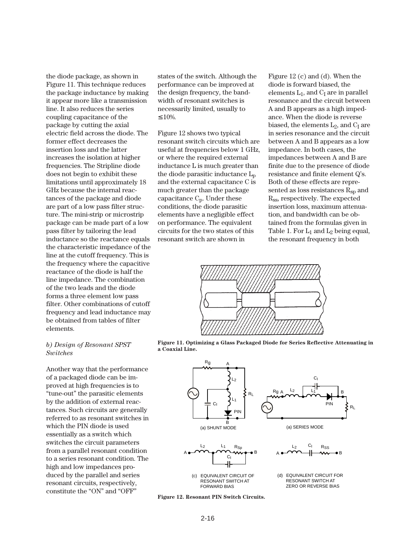the diode package, as shown in Figure 11. This technique reduces the package inductance by making it appear more like a transmission line. It also reduces the series coupling capacitance of the package by cutting the axial electric field across the diode. The former effect decreases the insertion loss and the latter increases the isolation at higher frequencies. The Stripline diode does not begin to exhibit these limitations until approximately 18 GHz because the internal reactances of the package and diode are part of a low pass filter structure. The mini-strip or microstrip package can be made part of a low pass filter by tailoring the lead inductance so the reactance equals the characteristic impedance of the line at the cutoff frequency. This is the frequency where the capacitive reactance of the diode is half the line impedance. The combination of the two leads and the diode forms a three element low pass filter. Other combinations of cutoff frequency and lead inductance may be obtained from tables of filter elements.

#### *b) Design of Resonant SPST Switches*

Another way that the performance of a packaged diode can be improved at high frequencies is to "tune-out" the parasitic elements by the addition of external reactances. Such circuits are generally referred to as resonant switches in which the PIN diode is used essentially as a switch which switches the circuit parameters from a parallel resonant condition to a series resonant condition. The high and low impedances produced by the parallel and series resonant circuits, respectively, constitute the "ON" and "OFF"

states of the switch. Although the performance can be improved at the design frequency, the bandwidth of resonant switches is necessarily limited, usually to ≤ 10%.

Figure 12 shows two typical resonant switch circuits which are useful at frequencies below 1 GHz, or where the required external inductance L is much greater than the diode parasitic inductance  $L_p$ and the external capacitance C is much greater than the package capacitance  $C_p$ . Under these conditions, the diode parasitic elements have a negligible effect on performance. The equivalent circuits for the two states of this resonant switch are shown in

Figure 12 (c) and (d). When the diode is forward biased, the elements  $L_1$ , and  $C_1$  are in parallel resonance and the circuit between A and B appears as a high impedance. When the diode is reverse biased, the elements  $L_2$ , and  $C_1$  are in series resonance and the circuit between A and B appears as a low impedance. In both cases, the impedances between A and B are finite due to the presence of diode resistance and finite element Q's. Both of these effects are represented as loss resistances  $R_{\rm SD}$  and Rss, respectively. The expected insertion loss, maximum attenuation, and bandwidth can be obtained from the formulas given in Table 1. For  $L_1$  and  $L_2$  being equal, the resonant frequency in both



**Figure 11. Optimizing a Glass Packaged Diode for Series Reflective Attenuating in a Coaxial Line.**



**Figure 12. Resonant PIN Switch Circuits.**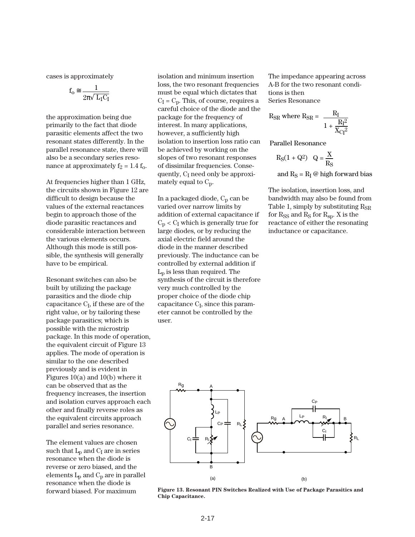cases is approximately

$$
f_o \cong \frac{1}{2\pi \sqrt{~L_1 C_I}}
$$

the approximation being due primarily to the fact that diode parasitic elements affect the two resonant states differently. In the parallel resonance state, there will also be a secondary series resonance at approximately  $f_2 = 1.4 f_0$ .

At frequencies higher than 1 GHz, the circuits shown in Figure 12 are difficult to design because the values of the external reactances begin to approach those of the diode parasitic reactances and considerable interaction between the various elements occurs. Although this mode is still possible, the synthesis will generally have to be empirical.

Resonant switches can also be built by utilizing the package parasitics and the diode chip capacitance  $C_I$ , if these are of the right value, or by tailoring these package parasitics; which is possible with the microstrip package. In this mode of operation, the equivalent circuit of Figure 13 applies. The mode of operation is similar to the one described previously and is evident in Figures 10(a) and 10(b) where it can be observed that as the frequency increases, the insertion and isolation curves approach each other and finally reverse roles as the equivalent circuits approach parallel and series resonance.

The element values are chosen such that  $L_p$  and  $C_l$  are in series resonance when the diode is reverse or zero biased, and the elements  $L_p$  and  $C_p$  are in parallel resonance when the diode is forward biased. For maximum

isolation and minimum insertion loss, the two resonant frequencies must be equal which dictates that  $C_I = C_D$ . This, of course, requires a careful choice of the diode and the package for the frequency of interest. In many applications, however, a sufficiently high isolation to insertion loss ratio can be achieved by working on the slopes of two resonant responses of dissimilar frequencies. Consequently, C<sub>I</sub> need only be approximately equal to  $C_p$ .

In a packaged diode,  $C_p$  can be varied over narrow limits by addition of external capacitance if  $C_p < C_l$  which is generally true for large diodes, or by reducing the axial electric field around the diode in the manner described previously. The inductance can be controlled by external addition if  $L_p$  is less than required. The synthesis of the circuit is therefore very much controlled by the proper choice of the diode chip capacitance  $C_I$ , since this parameter cannot be controlled by the user.

The impedance appearing across A-B for the two resonant conditions is then Series Resonance

$$
R_{SR} \text{ where } R_{SR} = \frac{R_I}{1 + \frac{R_I^2}{X_{CI}^2}}
$$

Parallel Resonance

$$
R_S(1 + Q^2) \quad Q = \frac{X}{R_S}
$$

and  $R_S = R_I \omega$  high forward bias

The isolation, insertion loss, and bandwidth may also be found from Table 1, simply by substituting  $R_{\rm SR}$ for  $R_{SS}$  and  $R_S$  for  $R_{sp}$ . X is the reactance of either the resonating inductance or capacitance.



**Figure 13. Resonant PIN Switches Realized with Use of Package Parasitics and Chip Capacitance.**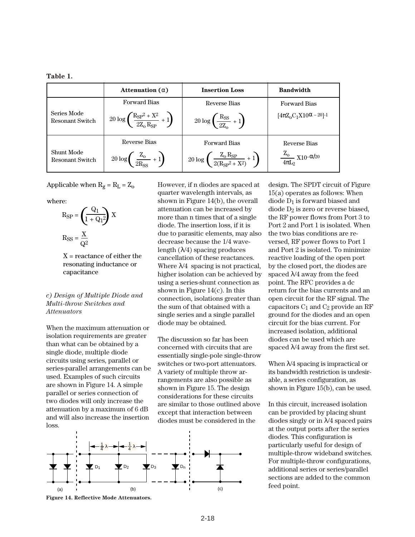| `a bi<br>16 |
|-------------|
|-------------|

|                                      | Attenuation $(\alpha)$                                                | <b>Insertion Loss</b>                                                     | <b>Bandwidth</b>                                    |
|--------------------------------------|-----------------------------------------------------------------------|---------------------------------------------------------------------------|-----------------------------------------------------|
|                                      | <b>Forward Bias</b>                                                   | Reverse Bias                                                              | <b>Forward Bias</b>                                 |
| Series Mode<br>Resonant Switch       | $20 \log \left( \frac{R_{SP}^2 + X^2}{2Z_{\rm e} R_{SP}} + 1 \right)$ | $20 \log \left( \frac{\text{R}_{\text{SS}}}{27} + 1 \right)$              | $[4\pi Z_0C_1X10^{\alpha} - 20]$ -1                 |
|                                      | Reverse Bias                                                          | <b>Forward Bias</b>                                                       | Reverse Bias                                        |
| <b>Shunt Mode</b><br>Resonant Switch | $20 \log \left( \frac{\text{Z}_0}{2 \text{R}_{ss}} + 1 \right)$       | $20 \log \left( \frac{Z_0 R_{\rm SP}}{2(R_{\rm SP}^2 + X^2)} + 1 \right)$ | $\frac{\rm Z_{o}}{4\pi \rm L_{2}}\,\rm X10^{-2/20}$ |

Applicable when  $R_g = R_L = Z_o$ 

where:

$$
R_{SP} = \left(\frac{Q_1}{1 + Q_1^2}\right) X
$$

$$
R_{SS} = \frac{X}{Q^2}
$$

 $X =$  reactance of either the resonating inductance or capacitance

## *c) Design of Multiple Diode and Multi-throw Switches and Attenuators*

When the maximum attenuation or isolation requirements are greater than what can be obtained by a single diode, multiple diode circuits using series, parallel or series-parallel arrangements can be used. Examples of such circuits are shown in Figure 14. A simple parallel or series connection of two diodes will only increase the attenuation by a maximum of 6 dB and will also increase the insertion loss.

However, if n diodes are spaced at quarter wavelength intervals, as shown in Figure 14(b), the overall attenuation can be increased by more than n times that of a single diode. The insertion loss, if it is due to parasitic elements, may also decrease because the 1/4 wavelength  $(\lambda/4)$  spacing produces cancellation of these reactances. Where  $\lambda/4$  spacing is not practical, higher isolation can be achieved by using a series-shunt connection as shown in Figure  $14(c)$ . In this connection, isolations greater than the sum of that obtained with a single series and a single parallel diode may be obtained.

The discussion so far has been concerned with circuits that are essentially single-pole single-throw switches or two-port attenuators. A variety of multiple throw arrangements are also possible as shown in Figure 15. The design considerations for these circuits are similar to those outlined above except that interaction between diodes must be considered in the



**Figure 14. Reflective Mode Attenuators.**

design. The SPDT circuit of Figure 15(a) operates as follows: When diode  $D_1$  is forward biased and diode  $D_2$  is zero or reverse biased, the RF power flows from Port 3 to Port 2 and Port 1 is isolated. When the two bias conditions are reversed, RF power flows to Port 1 and Port 2 is isolated. To minimize reactive loading of the open port by the closed port, the diodes are spaced λ/4 away from the feed point. The RFC provides a dc return for the bias currents and an open circuit for the RF signal. The capacitors  $C_1$  and  $C_2$  provide an RF ground for the diodes and an open circuit for the bias current. For increased isolation, additional diodes can be used which are spaced  $\lambda$ /4 away from the first set.

When  $\lambda$ /4 spacing is impractical or its bandwidth restriction is undesirable, a series configuration, as shown in Figure 15(b), can be used.

In this circuit, increased isolation can be provided by placing shunt diodes singly or in  $\lambda$ 4 spaced pairs at the output ports after the series diodes. This configuration is particularly useful for design of multiple-throw wideband switches. For multiple-throw configurations, additional series or series/parallel sections are added to the common feed point.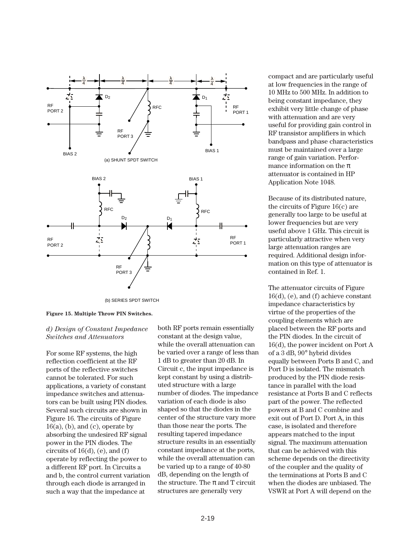

**Figure 15. Multiple Throw PIN Switches.**

## *d) Design of Constant Impedance Switches and Attenuators*

For some RF systems, the high reflection coefficient at the RF ports of the reflective switches cannot be tolerated. For such applications, a variety of constant impedance switches and attenuators can be built using PIN diodes. Several such circuits are shown in Figure 16. The circuits of Figure  $16(a)$ , (b), and (c), operate by absorbing the undesired RF signal power in the PIN diodes. The circuits of  $16(d)$ , (e), and (f) operate by reflecting the power to a different RF port. In Circuits a and b, the control current variation through each diode is arranged in such a way that the impedance at

both RF ports remain essentially constant at the design value, while the overall attenuation can be varied over a range of less than 1 dB to greater than 20 dB. In Circuit c, the input impedance is kept constant by using a distributed structure with a large number of diodes. The impedance variation of each diode is also shaped so that the diodes in the center of the structure vary more than those near the ports. The resulting tapered impedance structure results in an essentially constant impedance at the ports, while the overall attenuation can be varied up to a range of 40-80 dB, depending on the length of the structure. The  $\pi$  and T circuit structures are generally very

compact and are particularly useful at low frequencies in the range of 10 MHz to 500 MHz. In addition to being constant impedance, they exhibit very little change of phase with attenuation and are very useful for providing gain control in RF transistor amplifiers in which bandpass and phase characteristics must be maintained over a large range of gain variation. Performance information on the  $\pi$ attenuator is contained in HP Application Note 1048.

Because of its distributed nature, the circuits of Figure 16(c) are generally too large to be useful at lower frequencies but are very useful above 1 GHz. This circuit is particularly attractive when very large attenuation ranges are required. Additional design information on this type of attenuator is contained in Ref. 1.

The attenuator circuits of Figure 16(d), (e), and (f) achieve constant impedance characteristics by virtue of the properties of the coupling elements which are placed between the RF ports and the PIN diodes. In the circuit of 16(d), the power incident on Port A of a 3 dB, 90° hybrid divides equally between Ports B and C, and Port D is isolated. The mismatch produced by the PIN diode resistance in parallel with the load resistance at Ports B and C reflects part of the power. The reflected powers at B and C combine and exit out of Port D. Port A, in this case, is isolated and therefore appears matched to the input signal. The maximum attenuation that can be achieved with this scheme depends on the directivity of the coupler and the quality of the terminations at Ports B and C when the diodes are unbiased. The VSWR at Port A will depend on the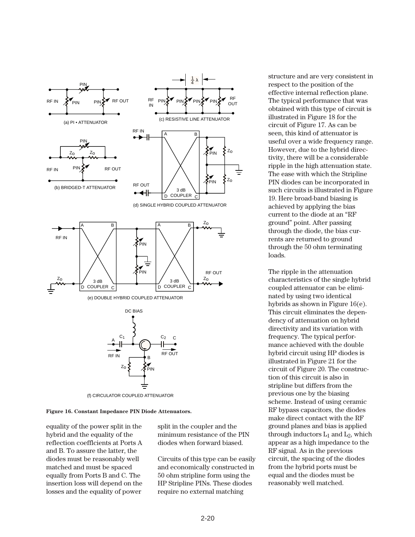

(f) CIRCULATOR COUPLED ATTENUATOR

**Figure 16. Constant Impedance PIN Diode Attenuators.**

equality of the power split in the hybrid and the equality of the reflection coefflcients at Ports A and B. To assure the latter, the diodes must be reasonably well matched and must be spaced equally from Ports B and C. The insertion loss will depend on the losses and the equality of power

split in the coupler and the minimum resistance of the PIN diodes when forward biased.

Circuits of this type can be easily and economically constructed in 50 ohm stripline form using the HP Stripline PINs. These diodes require no external matching

structure and are very consistent in respect to the position of the effective internal reflection plane. The typical performance that was obtained with this type of circuit is illustrated in Figure 18 for the circuit of Figure 17. As can be seen, this kind of attenuator is useful over a wide frequency range. However, due to the hybrid directivity, there will be a considerable ripple in the high attenuation state. The ease with which the Stripline PIN diodes can be incorporated in such circuits is illustrated in Figure 19. Here broad-band biasing is achieved by applying the bias current to the diode at an "RF ground" point. After passing through the diode, the bias currents are returned to ground through the 50 ohm terminating loads.

The ripple in the attenuation characteristics of the single hybrid coupled attenuator can be eliminated by using two identical hybrids as shown in Figure 16(e). This circuit eliminates the dependency of attenuation on hybrid directivity and its variation with frequency. The typical performance achieved with the double hybrid circuit using HP diodes is illustrated in Figure 21 for the circuit of Figure 20. The construction of this circuit is also in stripline but differs from the previous one by the biasing scheme. Instead of using ceramic RF bypass capacitors, the diodes make direct contact with the RF ground planes and bias is applied through inductors  $L_1$  and  $L_2$ , which appear as a high impedance to the RF signal. As in the previous circuit, the spacing of the diodes from the hybrid ports must be equal and the diodes must be reasonably well matched.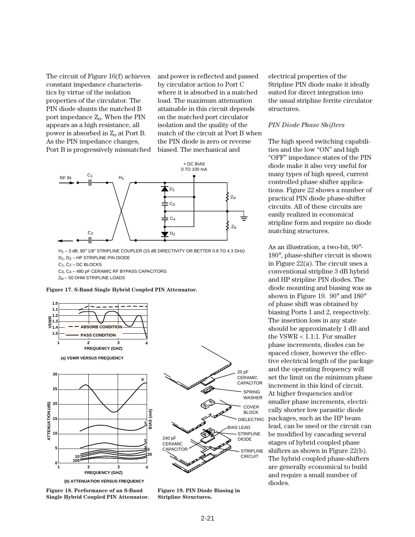The circuit of Figure 16(f) achieves constant impedance characteristics by virtue of the isolation properties of the circulator. The PIN diode shunts the matched B port impedance  $Z_0$ . When the PIN appears as a high resistance, all power is absorbed in  $Z_0$  at Port B. As the PIN impedance changes, Port B is progressively mismatched

and power is reflected and passed by circulator action to Port C where it is absorbed in a matched load. The maximum attenuation attainable in this circuit depends on the matched port circulator isolation and the quality of the match of the circuit at Port B when the PIN diode is zero or reverse biased. The mechanical and



H<sub>1</sub> – 3 dB, 90° 1/8" STRIPLINE COUPLER (15 dB DIRECTIVITY OR BETTER 0.8 TO 4.3 GHz) D1, D2 – HP STRIPLINE PIN DIODE  $C_1$ ,  $C_2$  – DC BLOCKS C3, C4 – 480 pF CERAMIC RF BYPASS CAPACITORS

Zo – 50 OHM STRIPLINE LOADS

**Figure 17. S-Band Single Hybrid Coupled PIN Attenuator.**



**(b) ATTENUATION VERSUS FREQUENCY**

**Figure 18. Performance of an S-Band Single Hybrid Coupled PIN Attenuator.**

**Figure 19. PIN Diode Biasing in Stripline Structures.**

electrical properties of the Stripline PIN diode make it ideally suited for direct integration into the usual stripline ferrite circulator structures.

#### *PIN Diode Phase Shifters*

The high speed switching capabilities and the low "ON" and high "OFF" impedance states of the PIN diode make it also very useful for many types of high speed, current controlled phase shifter applications. Figure 22 shows a number of practical PIN diode phase-shifter circuits. All of these circuits are easily realized in economical stripline form and require no diode matching structures.

As an illustration, a two-bit, 90°- 180°, phase-shifter circuit is shown in Figure 22(a). The circuit uses a conventional stripline 3 dB hybrid and HP stripline PIN diodes. The diode mounting and biasing was as shown in Figure 19. 90° and 180° of phase shift was obtained by biasing Ports 1 and 2, respectively. The insertion loss in any state should be approximately 1 dB and the VSWR < 1.1:1. For smaller phase increments, diodes can be spaced closer, however the effective electrical length of the package and the operating frequency will set the limit on the minimum phase increment in this kind of circuit. At higher frequencies and/or smaller phase increments, electrically shorter low parasitic diode packages, such as the HP beam lead, can be used or the circuit can be modified by cascading several stages of hybrid coupled phase shifters as shown in Figure 22(b). The hybrid coupled phase-shifters are generally economical to build and require a small number of diodes.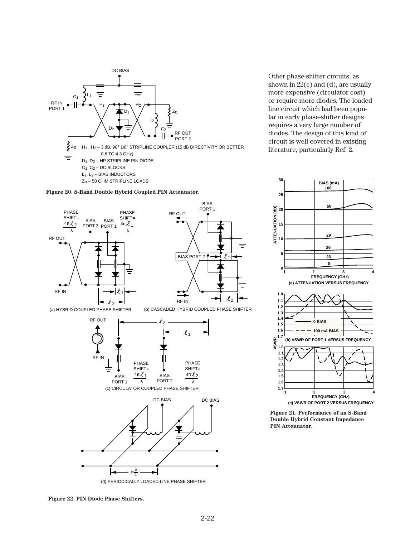







Other phase-shifter circuits, as shown in  $22(c)$  and (d), are usually more expensive (circulator cost) or require more diodes. The loaded line circuit which had been popular in early phase-shifter designs requires a very large number of diodes. The design of this kind of circuit is well covered in existing literature, particularly Ref. 2.



**Figure 21. Performance of an S-Band Double Hybrid Constant Impedance PIN Attenuator.**

**Figure 22. PIN Diode Phase Shifters.**

1

 $\overline{\ell}$ 

 $\mathcal{L}_2$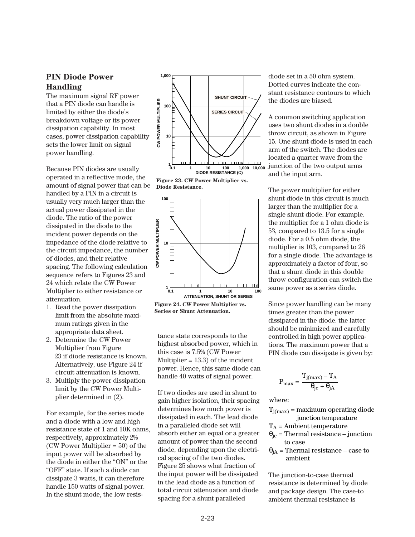## **PIN Diode Power Handling**

The maximum signal RF power that a PIN diode can handle is limited by either the diode's breakdown voltage or its power dissipation capability. In most cases, power dissipation capability sets the lower limit on signal power handling.

Because PIN diodes are usually operated in a reflective mode, the amount of signal power that can be handled by a PIN in a circuit is usually very much larger than the actual power dissipated in the diode. The ratio of the power dissipated in the diode to the incident power depends on the impedance of the diode relative to the circuit impedance, the number of diodes, and their relative spacing. The following calculation sequence refers to Figures 23 and 24 which relate the CW Power Multiplier to either resistance or attenuation.

- 1. Read the power dissipation limit from the absolute maximum ratings given in the appropriate data sheet.
- 2. Determine the CW Power Multiplier from Figure 23 if diode resistance is known. Alternatively, use Figure 24 if circuit attenuation is known.
- 3. Multiply the power dissipation limit by the CW Power Multiplier determined in (2).

For example, for the series mode and a diode with a low and high resistance state of 1 and 10K ohms, respectively, approximately 2% (CW Power Multiplier = 50) of the input power will be absorbed by the diode in either the "ON" or the "OFF" state. If such a diode can dissipate 3 watts, it can therefore handle 150 watts of signal power. In the shunt mode, the low resis-



**Figure 23. CW Power Multiplier vs. Diode Resistance.**



**Figure 24. CW Power Multiplier vs. Series or Shunt Attenuation.**

tance state corresponds to the highest absorbed power, which in this case is 7.5% (CW Power Multiplier  $= 13.3$ ) of the incident power. Hence, this same diode can handle 40 watts of signal power.

If two diodes are used in shunt to gain higher isolation, their spacing determines how much power is dissipated in each. The lead diode in a paralleled diode set will absorb either an equal or a greater amount of power than the second diode, depending upon the electrical spacing of the two diodes. Figure 25 shows what fraction of the input power will be dissipated in the lead diode as a function of total circuit attenuation and diode spacing for a shunt paralleled

diode set in a 50 ohm system. Dotted curves indicate the constant resistance contours to which the diodes are biased.

A common switching application uses two shunt diodes in a double throw circuit, as shown in Figure 15. One shunt diode is used in each arm of the switch. The diodes are located a quarter wave from the junction of the two output arms and the input arm.

The power multiplier for either shunt diode in this circuit is much larger than the multiplier for a single shunt diode. For example. the multiplier for a 1 ohm diode is 53, compared to 13.5 for a single diode. For a 0.5 ohm diode, the multiplier is 103, compared to 26 for a single diode. The advantage is approximately a factor of four, so that a shunt diode in this double throw configuration can switch the same power as a series diode.

Since power handling can be many times greater than the power dissipated in the diode. the latter should be minimized and carefully controlled in high power applications. The maximum power that a PIN diode can dissipate is given by:

$$
P_{max} = \frac{T_{j(max)} - T_A}{\theta_{jc} + \theta_{jA}}
$$

where:

- $T_{j(max)}$  = maximum operating diode junction temperature
- $T_A$  = Ambient temperature
- $\theta_{\text{ic}}$  = Thermal resistance junction to case
- $\theta_{iA}$  = Thermal resistance case to ambient

The junction-to-case thermal resistance is determined by diode and package design. The case-to ambient thermal resistance is